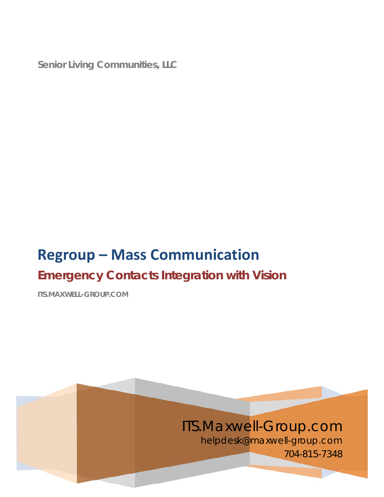**Senior Living Communities, LLC** 

# **Regroup – Mass Communication Emergency Contacts Integration with Vision**

**ITS.MAXWELL-GROUP.COM**

## ITS.Maxwell-Group.com

helpdesk@maxwell-group.com

704-815-7348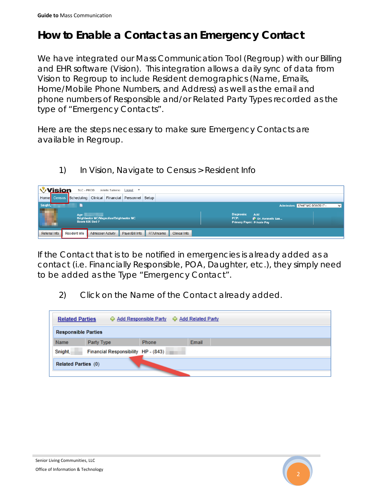### **How to Enable a Contact as an Emergency Contact**

We have integrated our Mass Communication Tool (Regroup) with our Billing and EHR software (Vision). This integration allows a daily sync of data from Vision to Regroup to include Resident demographics (Name, Emails, Home/Mobile Phone Numbers, and Address) as well as the email and phone numbers of Responsible and/or Related Party Types recorded as the type of "Emergency Contacts".

Here are the steps necessary to make sure Emergency Contacts are available in Regroup.

1) In Vision, Navigate to Census > Resident Info

- **Vision**  $SLC = PROD$ Aniello Salierno Logout Scheduling Clinical Financial Personnel Setup Home Census ssion: 17447 MC 8/31/2017 -Admission Activity | Payer/Bill Info | RTA/Income | Clinical Info Referral Info **Resident Info**
- 

If the Contact that is to be notified in emergencies is already added as a contact (i.e. Financially Responsible, POA, Daughter, etc.), they simply need to be added as the Type "Emergency Contact".

2) Click on the Name of the Contact already added.

| <b>Related Parties</b>     |                                     | ↔ Add Responsible Party ← Add Related Party |       |  |  |  |  |
|----------------------------|-------------------------------------|---------------------------------------------|-------|--|--|--|--|
| <b>Responsible Parties</b> |                                     |                                             |       |  |  |  |  |
| Name                       | Party Type                          | <b>Phone</b>                                | Email |  |  |  |  |
| Snight,                    | Financial Responsibility HP - (843) |                                             |       |  |  |  |  |
| Related Parties (0)        |                                     |                                             |       |  |  |  |  |
|                            |                                     |                                             |       |  |  |  |  |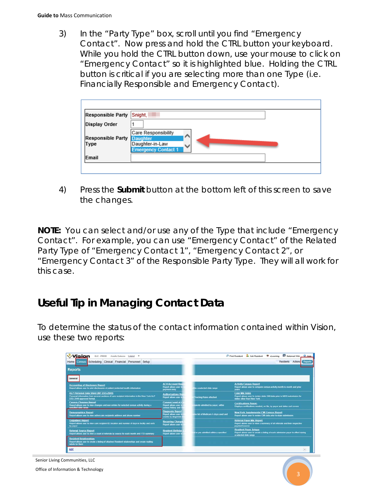3) In the "Party Type" box, scroll until you find "Emergency Contact". Now press and hold the CTRL button your keyboard. While you hold the CTRL button down, use your mouse to click on "Emergency Contact" so it is highlighted blue. Holding the CTRL button is critical if you are selecting more than one Type (i.e. Financially Responsible and Emergency Contact).

| Responsible Party Snight,        |                                                                                                |
|----------------------------------|------------------------------------------------------------------------------------------------|
| <b>Display Order</b>             |                                                                                                |
| <b>Responsible Party</b><br>Type | <b>Care Responsibility</b><br><b>Daughter</b><br>Daughter-in-Law<br><b>Emergency Contact 1</b> |
| Email                            |                                                                                                |
|                                  |                                                                                                |

4) Press the **Submit** button at the bottom left of this screen to save the changes.

**NOTE:** You can select and/or use any of the Type that include "Emergency Contact". For example, you can use "Emergency Contact" of the Related Party Type of "Emergency Contact 1", "Emergency Contact 2", or "Emergency Contact 3" of the Responsible Party Type. They will all work for this case.

### **Useful Tip in Managing Contact Data**

To determine the status of the contact information contained within Vision, use these two reports:

| Home Cunsus Scheduling Clinical Financial Personnel Setup                                                                                                         |                                                                          | Actions Reports<br>Residents         |                                                                                                                                          |  |
|-------------------------------------------------------------------------------------------------------------------------------------------------------------------|--------------------------------------------------------------------------|--------------------------------------|------------------------------------------------------------------------------------------------------------------------------------------|--|
| <b>Reports</b>                                                                                                                                                    |                                                                          |                                      |                                                                                                                                          |  |
| General                                                                                                                                                           |                                                                          |                                      |                                                                                                                                          |  |
| <b>Accounting of Disclosure Report</b><br>Report allows user to print disclosures of patient protected health information.                                        | <b>ACH Account Rep</b><br>Report allows user to<br>payment entry         | in a selected date range             | <b>Activity Census Report</b><br>Report allows user to compare census activity month to month and prior<br>years.                        |  |
| ALP Personal Data Sheet (NY DSS-2949)<br>Personal information from several sections of care recipient information in the New York ALP<br>DSS-2949 approved format | <b>Authorizations R</b><br>Report allows user \$                         | <b>Tracking Rules attached</b>       | <b>Case Mix Index</b><br>Report allows user to review state CMI data prior to MDS submission for<br>states other than New York           |  |
| <b>Census Changes Report</b><br>Report above user to view changes and new entries for selected census activity during a<br>specified date range                   | <b>Census Level of C</b><br>Report allows user !<br>centus history and C | cipients admitted by payer, within   | <b>Certifications Report</b><br>Displays certifications needed, on file, by payer and dates cert covers                                  |  |
| Demographics Report<br>Report allows user to view active care recipients address and phone number.                                                                | <b>Diagnosis Report</b><br>Report allows user \$<br>counts by diagnosis  | ive list of Medicare A days used and | <b>New York Supplemental CMI Census Report</b><br>Report allows user to review CMI data prior to state submission                        |  |
| <b>Outpatient Report</b><br>Report allows user to view care recipient ID, location and number of days in facility and sorts<br>by payer                           | <b>Recurring Charge</b><br>Report allows user \$                         |                                      | <b>Referral Payer Mix Report</b><br>Report allows user to view a summary of all referrals and their respective.<br>payment source        |  |
| <b>Referral Source Report</b><br>Report allows user to view a count of referrals by source for each month and YTO summary                                         | <b>Resident Birthday</b><br>Report allows user to                        | or pre-admitted within a specified   | <b>Resident Payer Setups</b><br>Report allows user to create a listing of each admission payer in effect during<br>a selected date range |  |
| <b>Resident Relationships</b><br>Report allows user to create a listing of attached Resident relationships and create mailing<br>labels for them                  |                                                                          |                                      |                                                                                                                                          |  |
| <b>ADT</b>                                                                                                                                                        |                                                                          |                                      |                                                                                                                                          |  |

Senior Living Communities, LLC

Office of Information & Technology